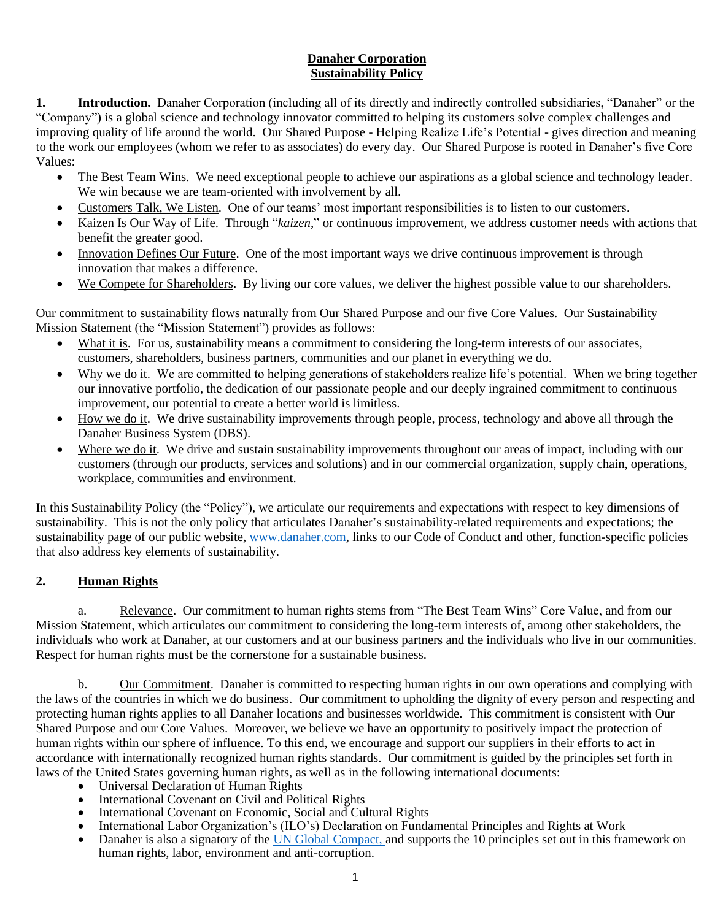## **Danaher Corporation Sustainability Policy**

**1. Introduction.** Danaher Corporation (including all of its directly and indirectly controlled subsidiaries, "Danaher" or the "Company") is a global science and technology innovator committed to helping its customers solve complex challenges and improving quality of life around the world. Our Shared Purpose - Helping Realize Life's Potential - gives direction and meaning to the work our employees (whom we refer to as associates) do every day. Our Shared Purpose is rooted in Danaher's five Core Values:

- The Best Team Wins. We need exceptional people to achieve our aspirations as a global science and technology leader. We win because we are team-oriented with involvement by all.
- Customers Talk, We Listen. One of our teams' most important responsibilities is to listen to our customers.
- Kaizen Is Our Way of Life. Through "*kaizen*," or continuous improvement, we address customer needs with actions that benefit the greater good.
- Innovation Defines Our Future. One of the most important ways we drive continuous improvement is through innovation that makes a difference.
- We Compete for Shareholders. By living our core values, we deliver the highest possible value to our shareholders.

Our commitment to sustainability flows naturally from Our Shared Purpose and our five Core Values. Our Sustainability Mission Statement (the "Mission Statement") provides as follows:

- What it is. For us, sustainability means a commitment to considering the long-term interests of our associates, customers, shareholders, business partners, communities and our planet in everything we do.
- Why we do it. We are committed to helping generations of stakeholders realize life's potential. When we bring together our innovative portfolio, the dedication of our passionate people and our deeply ingrained commitment to continuous improvement, our potential to create a better world is limitless.
- How we do it. We drive sustainability improvements through people, process, technology and above all through the Danaher Business System (DBS).
- Where we do it. We drive and sustain sustainability improvements throughout our areas of impact, including with our customers (through our products, services and solutions) and in our commercial organization, supply chain, operations, workplace, communities and environment.

In this Sustainability Policy (the "Policy"), we articulate our requirements and expectations with respect to key dimensions of sustainability. This is not the only policy that articulates Danaher's sustainability-related requirements and expectations; the sustainability page of our public website, [www.danaher.com,](http://www.danaher.com/) links to our Code of Conduct and other, function-specific policies that also address key elements of sustainability.

# **2. Human Rights**

a. Relevance. Our commitment to human rights stems from "The Best Team Wins" Core Value, and from our Mission Statement, which articulates our commitment to considering the long-term interests of, among other stakeholders, the individuals who work at Danaher, at our customers and at our business partners and the individuals who live in our communities. Respect for human rights must be the cornerstone for a sustainable business.

b. Our Commitment. Danaher is committed to respecting human rights in our own operations and complying with the laws of the countries in which we do business. Our commitment to upholding the dignity of every person and respecting and protecting human rights applies to all Danaher locations and businesses worldwide. This commitment is consistent with Our Shared Purpose and our Core Values. Moreover, we believe we have an opportunity to positively impact the protection of human rights within our sphere of influence. To this end, we encourage and support our suppliers in their efforts to act in accordance with internationally recognized human rights standards. Our commitment is guided by the principles set forth in laws of the United States governing human rights, as well as in the following international documents:

- Universal Declaration of Human Rights
- International Covenant on Civil and Political Rights
- International Covenant on Economic, Social and Cultural Rights
- International Labor Organization's (ILO's) Declaration on Fundamental Principles and Rights at Work
- Danaher is also a signatory of the [UN Global Compact, a](https://www.unglobalcompact.org/what-is-gc/participants/20031)nd supports the 10 principles set out in this framework on human rights, labor, environment and anti-corruption.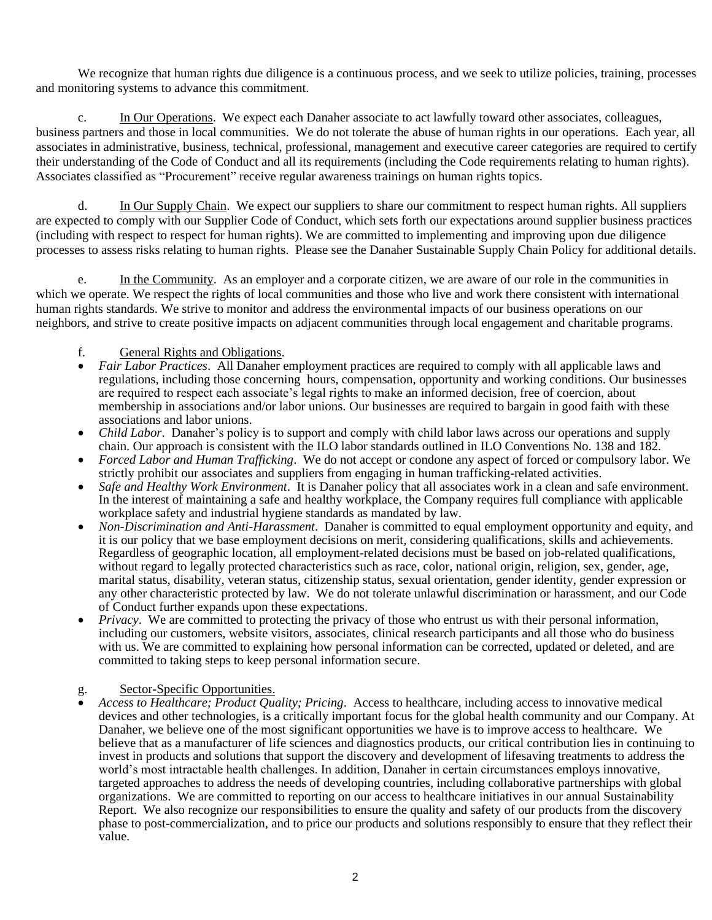We recognize that human rights due diligence is a continuous process, and we seek to utilize policies, training, processes and monitoring systems to advance this commitment.

c. In Our Operations. We expect each Danaher associate to act lawfully toward other associates, colleagues, business partners and those in local communities. We do not tolerate the abuse of human rights in our operations. Each year, all associates in administrative, business, technical, professional, management and executive career categories are required to certify their understanding of the Code of Conduct and all its requirements (including the Code requirements relating to human rights). Associates classified as "Procurement" receive regular awareness trainings on human rights topics.

d. In Our Supply Chain. We expect our suppliers to share our commitment to respect human rights. All suppliers are expected to comply with our Supplier Code of Conduct, which sets forth our expectations around supplier business practices (including with respect to respect for human rights). We are committed to implementing and improving upon due diligence processes to assess risks relating to human rights. Please see the Danaher Sustainable Supply Chain Policy for additional details.

e. In the Community. As an employer and a corporate citizen, we are aware of our role in the communities in which we operate. We respect the rights of local communities and those who live and work there consistent with international human rights standards. We strive to monitor and address the environmental impacts of our business operations on our neighbors, and strive to create positive impacts on adjacent communities through local engagement and charitable programs.

### f. General Rights and Obligations.

- *Fair Labor Practices*. All Danaher employment practices are required to comply with all applicable laws and regulations, including those concerning hours, compensation, opportunity and working conditions. Our businesses are required to respect each associate's legal rights to make an informed decision, free of coercion, about membership in associations and/or labor unions. Our businesses are required to bargain in good faith with these associations and labor unions.
- *Child Labor*. Danaher's policy is to support and comply with child labor laws across our operations and supply chain. Our approach is consistent with the ILO labor standards outlined in ILO Conventions No. 138 and 182.
- *Forced Labor and Human Trafficking*. We do not accept or condone any aspect of forced or compulsory labor. We strictly prohibit our associates and suppliers from engaging in human trafficking-related activities.
- *Safe and Healthy Work Environment*. It is Danaher policy that all associates work in a clean and safe environment. In the interest of maintaining a safe and healthy workplace, the Company requires full compliance with applicable workplace safety and industrial hygiene standards as mandated by law.
- *Non-Discrimination and Anti-Harassment*. Danaher is committed to equal employment opportunity and equity, and it is our policy that we base employment decisions on merit, considering qualifications, skills and achievements. Regardless of geographic location, all employment-related decisions must be based on job-related qualifications, without regard to legally protected characteristics such as race, color, national origin, religion, sex, gender, age, marital status, disability, veteran status, citizenship status, sexual orientation, gender identity, gender expression or any other characteristic protected by law. We do not tolerate unlawful discrimination or harassment, and our [Code](https://www.jnj.com/about-jnj/policies-and-positions/our-position-on-providing-a-safe-and-harassment-free-workplace)  [of Conduct f](https://www.jnj.com/about-jnj/policies-and-positions/our-position-on-providing-a-safe-and-harassment-free-workplace)urther expands upon these expectations.
- *Privacy*. We are committed to protecting the privacy of those who entrust us with their personal information, including our customers, website visitors, associates, clinical research participants and all those who do business with us. We are committed to explaining how personal information can be corrected, updated or deleted, and are committed to taking steps to keep personal information secure.

#### g. Sector-Specific Opportunities.

• *Access to Healthcare; Product Quality; Pricing*. Access to healthcare, including access to innovative medical devices and other technologies, is a critically important focus for the global health community and our Company. At Danaher, we believe one of the most significant opportunities we have is to improve access to healthcare. We believe that as a manufacturer of life sciences and diagnostics products, our critical contribution lies in continuing to invest in products and solutions that support the discovery and development of lifesaving treatments to address the world's most intractable health challenges. In addition, Danaher in certain circumstances employs innovative, targeted approaches to address the needs of developing countries, including collaborative partnerships with global organizations. We are committed to reporting on our access to healthcare initiatives in our annual [Sustainability](https://www.jnj.com/about-jnj/policies-and-positions/our-position-on-intellectual-property)  [Report.](https://www.jnj.com/about-jnj/policies-and-positions/our-position-on-intellectual-property) We also recognize our responsibilities to ensure the quality and safety of our products from the discovery phase to post-commercialization, and to price our products and solutions responsibly to ensure that they reflect their value.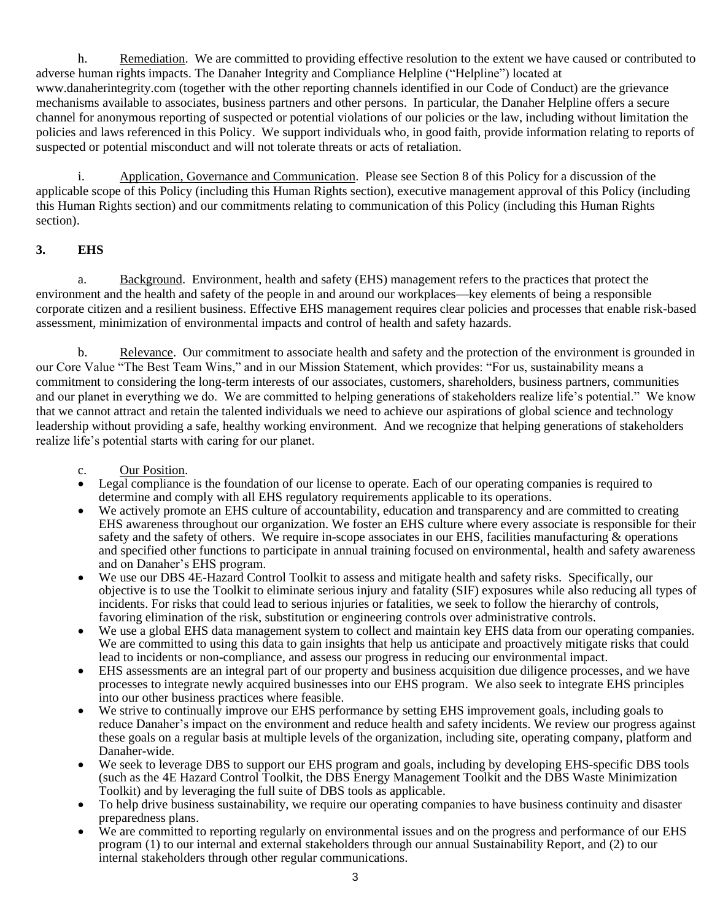h. Remediation. We are committed to providing effective resolution to the extent we have caused or contributed to adverse human rights impacts. The Danaher Integrity and Compliance Helpline ("Helpline") located at www.danaherintegrity.com (together with the other reporting channels identified in our Code of Conduct) are the grievance mechanisms available to associates, business partners and other persons. In particular, the Danaher Helpline offers a secure channel for anonymous reporting of suspected or potential violations of our policies or the law, including without limitation the policies and laws referenced in this Policy. We support individuals who, in good faith, provide information relating to reports of suspected or potential misconduct and will not tolerate threats or acts of retaliation.

i. Application, Governance and Communication. Please see Section 8 of this Policy for a discussion of the applicable scope of this Policy (including this Human Rights section), executive management approval of this Policy (including this Human Rights section) and our commitments relating to communication of this Policy (including this Human Rights section).

## **3. EHS**

a. Background. Environment, health and safety (EHS) management refers to the practices that protect the environment and the health and safety of the people in and around our workplaces—key elements of being a responsible corporate citizen and a resilient business. Effective EHS management requires clear policies and processes that enable risk-based assessment, minimization of environmental impacts and control of health and safety hazards.

b. Relevance. Our commitment to associate health and safety and the protection of the environment is grounded in our Core Value "The Best Team Wins," and in our Mission Statement, which provides: "For us, sustainability means a commitment to considering the long-term interests of our associates, customers, shareholders, business partners, communities and our planet in everything we do. We are committed to helping generations of stakeholders realize life's potential." We know that we cannot attract and retain the talented individuals we need to achieve our aspirations of global science and technology leadership without providing a safe, healthy working environment. And we recognize that helping generations of stakeholders realize life's potential starts with caring for our planet.

- c. Our Position.
- Legal compliance is the foundation of our license to operate. Each of our operating companies is required to determine and comply with all EHS regulatory requirements applicable to its operations.
- We actively promote an EHS culture of accountability, education and transparency and are committed to creating EHS awareness throughout our organization. We foster an EHS culture where every associate is responsible for their safety and the safety of others. We require in-scope associates in our EHS, facilities manufacturing  $\&$  operations and specified other functions to participate in annual training focused on environmental, health and safety awareness and on Danaher's EHS program.
- We use our DBS 4E-Hazard Control Toolkit to assess and mitigate health and safety risks. Specifically, our objective is to use the Toolkit to eliminate serious injury and fatality (SIF) exposures while also reducing all types of incidents. For risks that could lead to serious injuries or fatalities, we seek to follow the hierarchy of controls, favoring elimination of the risk, substitution or engineering controls over administrative controls.
- We use a global EHS data management system to collect and maintain key EHS data from our operating companies. We are committed to using this data to gain insights that help us anticipate and proactively mitigate risks that could lead to incidents or non-compliance, and assess our progress in reducing our environmental impact.
- EHS assessments are an integral part of our property and business acquisition due diligence processes, and we have processes to integrate newly acquired businesses into our EHS program. We also seek to integrate EHS principles into our other business practices where feasible.
- We strive to continually improve our EHS performance by setting EHS improvement goals, including goals to reduce Danaher's impact on the environment and reduce health and safety incidents. We review our progress against these goals on a regular basis at multiple levels of the organization, including site, operating company, platform and Danaher-wide.
- We seek to leverage DBS to support our EHS program and goals, including by developing EHS-specific DBS tools (such as the 4E Hazard Control Toolkit, the DBS Energy Management Toolkit and the DBS Waste Minimization Toolkit) and by leveraging the full suite of DBS tools as applicable.
- To help drive business sustainability, we require our operating companies to have business continuity and disaster preparedness plans.
- We are committed to reporting regularly on environmental issues and on the progress and performance of our EHS program (1) to our internal and external stakeholders through our annual Sustainability Report, and (2) to our internal stakeholders through other regular communications.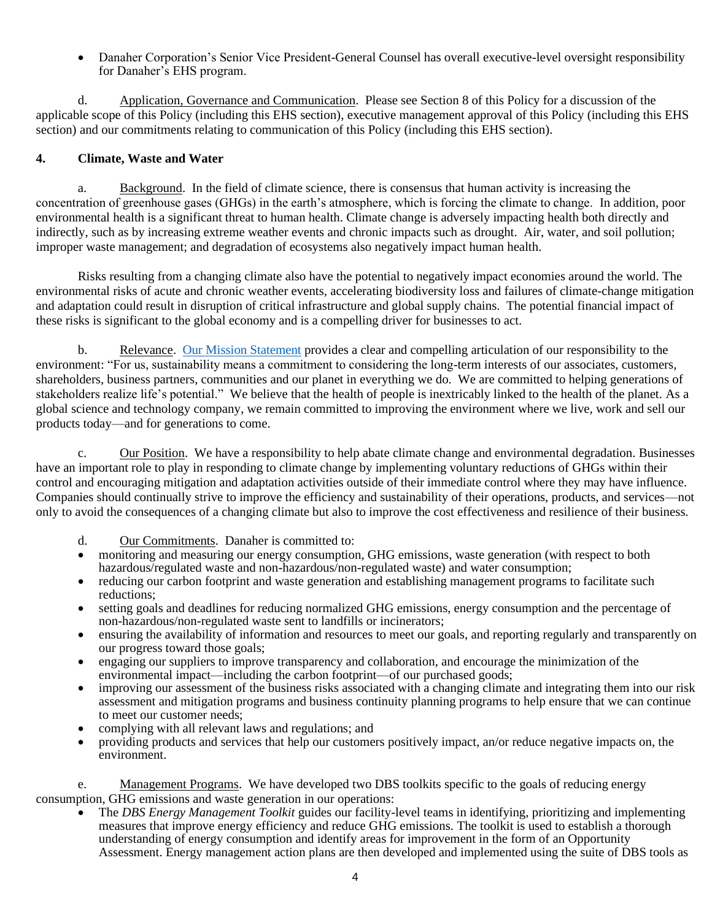• Danaher Corporation's Senior Vice President-General Counsel has overall executive-level oversight responsibility for Danaher's EHS program.

d. Application, Governance and Communication. Please see Section 8 of this Policy for a discussion of the applicable scope of this Policy (including this EHS section), executive management approval of this Policy (including this EHS section) and our commitments relating to communication of this Policy (including this EHS section).

### **4. Climate, Waste and Water**

a. Background. In the field of climate science, there is consensus that human activity is increasing the concentration of greenhouse gases (GHGs) in the earth's atmosphere, which is forcing the climate to change. In addition, poor environmental health is a significant threat to human health. Climate change is adversely impacting health both directly and indirectly, such as by increasing extreme weather events and chronic impacts such as drought. Air, water, and soil pollution; improper waste management; and degradation of ecosystems also negatively impact human health.

Risks resulting from a changing climate also have the potential to negatively impact economies around the world. The environmental risks of acute and chronic weather events, accelerating biodiversity loss and failures of climate-change mitigation and adaptation could result in disruption of critical infrastructure and global supply chains. The potential financial impact of these risks is significant to the global economy and is a compelling driver for businesses to act.

b. Relevance. [Our](https://www.jnj.com/about-jnj/jnj-credo) Mission Statement provides a clear and compelling articulation of our responsibility to the environment: "For us, sustainability means a commitment to considering the long-term interests of our associates, customers, shareholders, business partners, communities and our planet in everything we do. We are committed to helping generations of stakeholders realize life's potential." We believe that the health of people is inextricably linked to the health of the planet. As a global science and technology company, we remain committed to improving the environment where we live, work and sell our products today—and for generations to come.

c. Our Position. We have a responsibility to help abate climate change and environmental degradation. Businesses have an important role to play in responding to climate change by implementing voluntary reductions of GHGs within their control and encouraging mitigation and adaptation activities outside of their immediate control where they may have influence. Companies should continually strive to improve the efficiency and sustainability of their operations, products, and services—not only to avoid the consequences of a changing climate but also to improve the cost effectiveness and resilience of their business.

d. Our Commitments. Danaher is committed to:

- monitoring and measuring our energy consumption, GHG emissions, waste generation (with respect to both hazardous/regulated waste and non-hazardous/non-regulated waste) and water consumption;
- reducing our carbon footprint and waste generation and establishing management programs to facilitate such reductions;
- setting goals and deadlines for reducing normalized GHG emissions, energy consumption and the percentage of non-hazardous/non-regulated waste sent to landfills or incinerators;
- ensuring the availability of information and resources to meet our goals, and reporting regularly and transparently on our progress toward those goals;
- engaging our suppliers to improve transparency and collaboration, and encourage the minimization of the environmental impact—including the carbon footprint—of our purchased goods;
- improving our assessment of the business risks associated with a changing climate and integrating them into our risk assessment and mitigation programs and business continuity planning programs to help ensure that we can continue to meet our customer needs;
- complying with all relevant laws and regulations; and
- providing products and services that help our customers positively impact, an/or reduce negative impacts on, the environment.

e. Management Programs. We have developed two DBS toolkits specific to the goals of reducing energy consumption, GHG emissions and waste generation in our operations:

• The *DBS Energy Management Toolkit* guides our facility-level teams in identifying, prioritizing and implementing measures that improve energy efficiency and reduce GHG emissions. The toolkit is used to establish a thorough understanding of energy consumption and identify areas for improvement in the form of an Opportunity Assessment. Energy management action plans are then developed and implemented using the suite of DBS tools as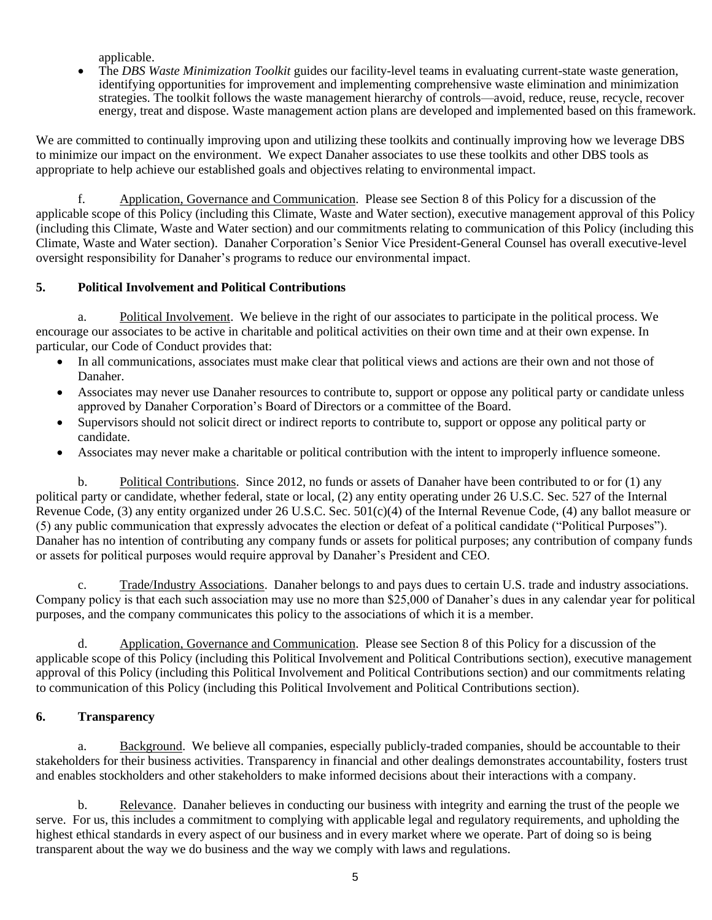applicable.

• The *DBS Waste Minimization Toolkit* guides our facility-level teams in evaluating current-state waste generation, identifying opportunities for improvement and implementing comprehensive waste elimination and minimization strategies. The toolkit follows the waste management hierarchy of controls—avoid, reduce, reuse, recycle, recover energy, treat and dispose. Waste management action plans are developed and implemented based on this framework.

We are committed to continually improving upon and utilizing these toolkits and continually improving how we leverage DBS to minimize our impact on the environment. We expect Danaher associates to use these toolkits and other DBS tools as appropriate to help achieve our established goals and objectives relating to environmental impact.

f. Application, Governance and Communication. Please see Section 8 of this Policy for a discussion of the applicable scope of this Policy (including this Climate, Waste and Water section), executive management approval of this Policy (including this Climate, Waste and Water section) and our commitments relating to communication of this Policy (including this Climate, Waste and Water section). Danaher Corporation's Senior Vice President-General Counsel has overall executive-level oversight responsibility for Danaher's programs to reduce our environmental impact.

## **5. Political Involvement and Political Contributions**

a. Political Involvement. We believe in the right of our associates to participate in the political process. We encourage our associates to be active in charitable and political activities on their own time and at their own expense. In particular, our Code of Conduct provides that:

- In all communications, associates must make clear that political views and actions are their own and not those of Danaher.
- Associates may never use Danaher resources to contribute to, support or oppose any political party or candidate unless approved by Danaher Corporation's Board of Directors or a committee of the Board.
- Supervisors should not solicit direct or indirect reports to contribute to, support or oppose any political party or candidate.
- Associates may never make a charitable or political contribution with the intent to improperly influence someone.

b. Political Contributions. Since 2012, no funds or assets of Danaher have been contributed to or for (1) any political party or candidate, whether federal, state or local, (2) any entity operating under 26 U.S.C. Sec. 527 of the Internal Revenue Code, (3) any entity organized under 26 U.S.C. Sec. 501(c)(4) of the Internal Revenue Code, (4) any ballot measure or (5) any public communication that expressly advocates the election or defeat of a political candidate ("Political Purposes"). Danaher has no intention of contributing any company funds or assets for political purposes; any contribution of company funds or assets for political purposes would require approval by Danaher's President and CEO.

Trade/Industry Associations. Danaher belongs to and pays dues to certain U.S. trade and industry associations. Company policy is that each such association may use no more than \$25,000 of Danaher's dues in any calendar year for political purposes, and the company communicates this policy to the associations of which it is a member.

d. Application, Governance and Communication. Please see Section 8 of this Policy for a discussion of the applicable scope of this Policy (including this Political Involvement and Political Contributions section), executive management approval of this Policy (including this Political Involvement and Political Contributions section) and our commitments relating to communication of this Policy (including this Political Involvement and Political Contributions section).

## **6. Transparency**

a. Background. We believe all companies, especially publicly-traded companies, should be accountable to their stakeholders for their business activities. Transparency in financial and other dealings demonstrates accountability, fosters trust and enables stockholders and other stakeholders to make informed decisions about their interactions with a company.

b. Relevance. Danaher believes in conducting our business with integrity and earning the trust of the people we serve. For us, this includes a commitment to complying with applicable legal and regulatory requirements, and upholding the highest ethical standards in every aspect of our business and in every market where we operate. Part of doing so is being transparent about the way we do business and the way we comply with laws and regulations.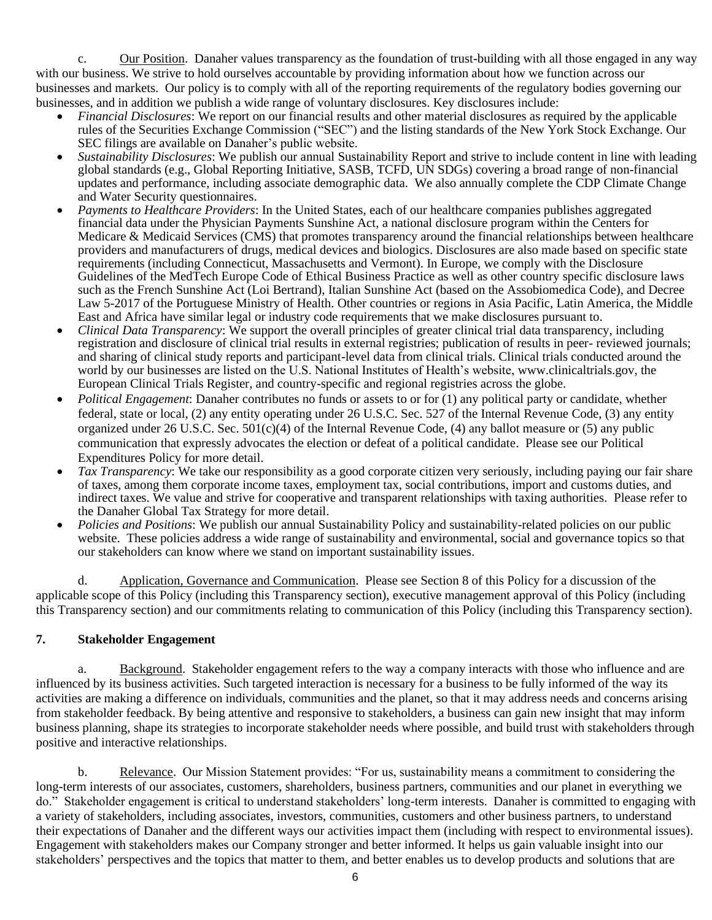c. Our Position. Danaher values transparency as the foundation of trust-building with all those engaged in any way with our business. We strive to hold ourselves accountable by providing information about how we function across our businesses and markets. Our policy is to comply with all of the reporting requirements of the regulatory bodies governing our businesses, and in addition we publish a wide range of voluntary disclosures. Key disclosures include:

- *Financial Disclosures*: We report on our financial results and other material disclosures as required by the applicable rules of the Securities Exchange Commission ("SEC") and the listing standards of the New York Stock Exchange. Our SEC filings are available on Danaher's public website.
- *Sustainability Disclosures*: We publish our annual Sustainability Report and strive to include content in line with leading global standards (e.g., [Global Reporting Initiative,](https://www.globalreporting.org/Pages/default.aspx) [SASB,](http://www.sasb.org/) TCFD, UN SDGs) covering a broad range of non-financial updates and performance, including associate demographic data. We also annually complete the CDP Climate Change and Water Security questionnaires.
- *Payments to Healthcare Providers*: In the United States, each of our healthcare companies publishes aggregated financial data under the Physician Payments Sunshine Act, a national disclosure program within the Centers for Medicare  $\&$  Medicaid Services (CMS) that promotes transparency around the financial relationships between healthcare providers and manufacturers of drugs, medical devices and biologics. Disclosures are also made based on specific state requirements (including Connecticut, Massachusetts and Vermont). In Europe, we comply with the Disclosure Guidelines of the MedTech Europe Code of Ethical Business Practice as well as other country specific disclosure laws such as the French Sunshine Act (Loi Bertrand), Italian Sunshine Act (based on the Assobiomedica Code), and Decree Law 5-2017 of the Portuguese Ministry of Health. Other countries or regions in Asia Pacific, Latin America, the Middle East and Africa have similar legal or industry code requirements that we make disclosures pursuant to.
- *Clinical Data Transparency*: We support the overall principles of greater clinical trial data transparency, including registration and disclosure of clinical trial results in external registries; publication of results in peer- reviewed journals; and sharing of clinical study reports and participant-level data from clinical trials. Clinical trials conducted around the world by our businesses are listed on the U.S. National Institutes of Health's website, [www.clinicaltrials.gov, t](http://www.clinicaltrials.gov/)he European Clinical Trials Register, and country-specific and regional registries across the globe.
- *Political Engagement*: Danaher contributes no funds or assets to or for (1) any political party or candidate, whether federal, state or local, (2) any entity operating under 26 U.S.C. Sec. 527 of the Internal Revenue Code, (3) any entity organized under 26 U.S.C. Sec. 501(c)(4) of the Internal Revenue Code, (4) any ballot measure or (5) any public communication that expressly advocates the election or defeat of a political candidate. Please see our Political Expenditures Policy for more detail.
- *Tax Transparency*: We take our responsibility as a good corporate citizen very seriously, including paying our fair share of taxes, among them corporate income taxes, employment tax, social contributions, import and customs duties, and indirect taxes. We value and strive for cooperative and transparent relationships with taxing authorities. Please refer to the Danaher Global Tax Strategy for more detail.
- *Policies and Positions*: We publish our annual Sustainability Policy and sustainability-related policies on our public website. These policies address a wide range of sustainability and environmental, social and governance topics so that our stakeholders can know where we stand on important sustainability issues.

d. Application, Governance and Communication. Please see Section 8 of this Policy for a discussion of the applicable scope of this Policy (including this Transparency section), executive management approval of this Policy (including this Transparency section) and our commitments relating to communication of this Policy (including this Transparency section).

## **7. Stakeholder Engagement**

a. Background. Stakeholder engagement refers to the way a company interacts with those who influence and are influenced by its business activities. Such targeted interaction is necessary for a business to be fully informed of the way its activities are making a difference on individuals, communities and the planet, so that it may address needs and concerns arising from stakeholder feedback. By being attentive and responsive to stakeholders, a business can gain new insight that may inform business planning, shape its strategies to incorporate stakeholder needs where possible, and build trust with stakeholders through positive and interactive relationships.

b. Relevance. Our Mission Statement provides: "For us, sustainability means a commitment to considering the long-term interests of our associates, customers, shareholders, business partners, communities and our planet in everything we do." Stakeholder engagement is critical to understand stakeholders' long-term interests. Danaher is committed to engaging with a variety of stakeholders, including associates, investors, communities, customers and other business partners, to understand their expectations of Danaher and the different ways our activities impact them (including with respect to environmental issues). Engagement with stakeholders makes our Company stronger and better informed. It helps us gain valuable insight into our stakeholders' perspectives and the topics that matter to them, and better enables us to develop products and solutions that are